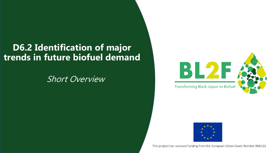### **D6.2 Identification of major trends in future biofuel demand**

### Short Overview





This project has received funding from the European Union Grant Number 884111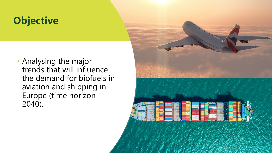## **Objective**

• Analysing the major trends that will influence the demand for biofuels in aviation and shipping in Europe (time horizon 2040).

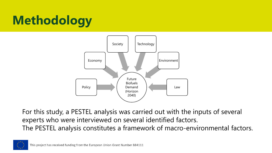

For this study, a PESTEL analysis was carried out with the inputs of several experts who were interviewed on several identified factors. The PESTEL analysis constitutes a framework of macro-environmental factors.

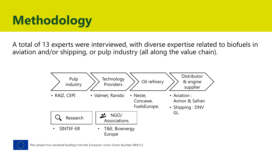A total of 13 experts were interviewed, with diverse expertise related to biofuels in aviation and/or shipping, or pulp industry (all along the value chain).



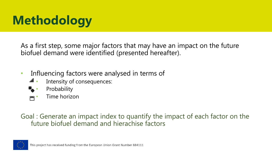As a first step, some major factors that may have an impact on the future biofuel demand were identified (presented hereafter).

- Influencing factors were analysed in terms of
	- **III** Intensity of consequences:
	- **E**<sup>•</sup> Probability
	- Time horizon

Goal : Generate an impact index to quantify the impact of each factor on the future biofuel demand and hierachise factors

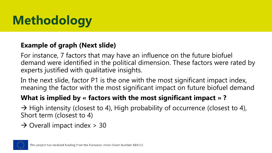#### **Example of graph (Next slide)**

For instance, 7 factors that may have an influence on the future biofuel demand were identified in the political dimension. These factors were rated by experts justified with qualitative insights.

In the next slide, factor P1 is the one with the most significant impact index, meaning the factor with the most significant impact on future biofuel demand

#### **What is implied by « factors with the most significant impact » ?**

 $\rightarrow$  High intensity (closest to 4), High probability of occurrence (closest to 4), Short term (closest to 4)

### $\rightarrow$  Overall impact index > 30

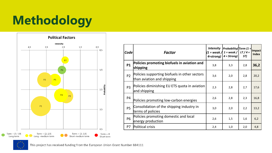

| Code           | <b>Factor</b>                                                               | <b>Intensity</b><br>4=strong) | $ Probability  Term 1=$<br>(1 = weak $/$ 1 = weak $/$ $\mid$ LT $/$ 4 =<br>$4 =$ Strong) | ST) | <b>Impact</b><br><b>Index</b> |
|----------------|-----------------------------------------------------------------------------|-------------------------------|------------------------------------------------------------------------------------------|-----|-------------------------------|
| <b>P1</b>      | Policies promoting biofuels in aviation and<br>shipping                     | 3,8                           | 3,3                                                                                      | 2,8 | 36,2                          |
| P <sub>2</sub> | Policies supporting biofuels in other sectors<br>than aviation and shipping | 3,6                           | 2,0                                                                                      | 2,8 | 20,2                          |
| P <sub>3</sub> | Policies diminishing EU ETS quota in aviation<br>and shipping               | 2,3                           | 2,8                                                                                      | 2,7 | 17,6                          |
| P <sub>4</sub> | Policies promoting low-carbon energies                                      | 2,6                           | 2,8                                                                                      | 2,3 | 16,8                          |
| <b>P5</b>      | Consolidation of the shipping industry in<br>terms of policies              | 3,0                           | 2,0                                                                                      | 2,2 | 13,2                          |
| <b>P6</b>      | Policies promoting domestic and local<br>energy production                  | 2,6                           | 1,5                                                                                      | 1,6 | 6,2                           |
| P7             | Political crisis                                                            | 2,4                           | 1,0                                                                                      | 2,0 | 4,8                           |

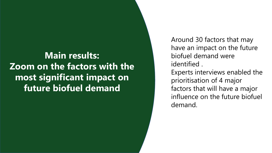## **Main results: Zoom on the factors with the most significant impact on future biofuel demand**

Around 30 factors that may have an impact on the future biofuel demand were identified . Experts interviews enabled the prioritisation of 4 major factors that will have a major influence on the future biofuel demand.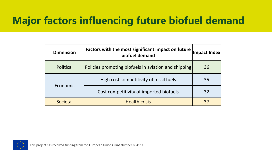## **Major factors influencing future biofuel demand**

| <b>Dimension</b> | Factors with the most significant impact on future<br>biofuel demand |    |
|------------------|----------------------------------------------------------------------|----|
| Political        | Policies promoting biofuels in aviation and shipping                 | 36 |
|                  | High cost competitivity of fossil fuels                              | 35 |
| Economic         | Cost competitivity of imported biofuels                              | 32 |
| Societal         | <b>Health crisis</b>                                                 | 37 |

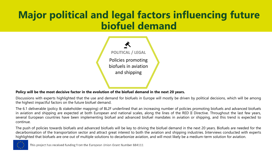## **Major political and legal factors influencing future biofuel demand**



#### Policy will be the most decisive factor in the evolution of the biofuel demand in the next 20 years.

Discussions with experts highlighted that the use and demand for biofuels in Europe will mostly be driven by political decisions, which will be among the highest impactful factors on the future biofuel demand.

The 6.1 deliverable (policy & stakeholder mapping) of BL2F underlined that an increasing number of policies promoting biofuels and advanced biofuels in aviation and shipping are expected at both European and national scales, along the lines of the RED II Directive. Throughout the last few years, several European countries have been implementing biofuel and advanced biofuel mandates in aviation or shipping, and this trend is expected to continue.

The push of policies towards biofuels and advanced biofuels will be key to driving the biofuel demand in the next 20 years. Biofuels are needed for the decarbonisation of the transportation sector and attract great interest to both the aviation and shipping industries. Interviews conducted with experts highlighted that biofuels are one out of multiple solutions to decarbonize aviation, and will most likely be a medium-term solution for aviation.



This project has received funding from the European Union Grant Number 884111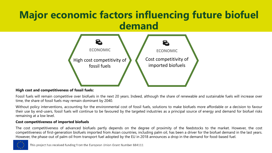## **Major economic factors influencing future biofuel demand**



#### **High cost and competitiveness of fossil fuels:**

Fossil fuels will remain competitive over biofuels in the next 20 years. Indeed, although the share of renewable and sustainable fuels will increase over time, the share of fossil fuels may remain dominant by 2040.

Without policy interventions, accounting for the environmental cost of fossil fuels, solutions to make biofuels more affordable or a decision to favour their use by end-users, fossil fuels will continue to be favoured by the targeted industries as a principal source of energy and demand for biofuel risks remaining at a low level.

#### **Cost competitiveness of imported biofuels**

The cost competitiveness of advanced biofuels partly depends on the degree of proximity of the feedstocks to the market. However, the cost competitiveness of first-generation biofuels imported from Asian countries, including palm oil, has been a driver for the biofuel demand in the last years. However, the phase-out of palm oil from transport fuel adopted by the EU in 2018 announces a drop in the demand for food-based fuel.



This project has received funding from the European Union Grant Number 884111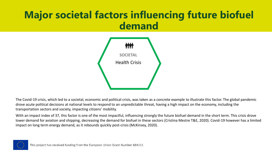## **Major societal factors influencing future biofuel demand**



The Covid-19 crisis, which led to a societal, economic and political crisis, was taken as a concrete example to illustrate this factor. The global pandemic drove acute political decisions at national levels to respond to an unpredictable threat, having a high impact on the economy, including the transportation sectors and society, impacting citizens' mobility.

With an impact index of 37, this factor is one of the most impactful, influencing strongly the future biofuel demand in the short term. This crisis drove lower demand for aviation and shipping, decreasing the demand for biofuel in these sectors (Cristina Mestre T&E, 2020). Covid-19 however has a limited impact on long term energy demand, as it rebounds quickly post-crisis (McKinsey, 2020).